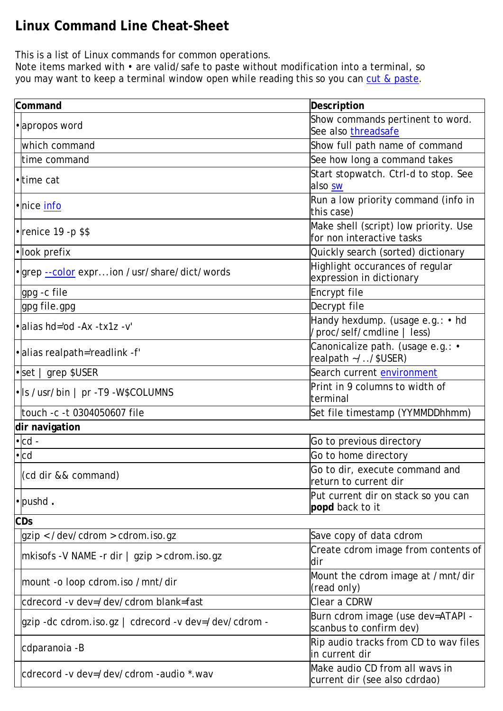## **Linux Command Line Cheat-Sheet**

This is a list of Linux commands for common operations.

Note items marked with • are valid/safe to paste without modification into a terminal, so you may want to keep a terminal window open while reading this so you can cut & paste.

| Command                                              | Description                                                        |
|------------------------------------------------------|--------------------------------------------------------------------|
| • apropos word                                       | Show commands pertinent to word.                                   |
|                                                      | See also threadsafe                                                |
| which command                                        | Show full path name of command                                     |
| time command                                         | See how long a command takes                                       |
| •ltime cat                                           | Start stopwatch. Ctrl-d to stop. See<br>also sw                    |
| · nice info                                          | Run a low priority command (info in<br>this case)                  |
| $\cdot$ renice 19 - p\$\$                            | Make shell (script) low priority. Use<br>for non interactive tasks |
| ·look prefix                                         | Quickly search (sorted) dictionary                                 |
| . grep --color exprion /usr/share/dict/words         | Highlight occurances of regular<br>expression in dictionary        |
| gpg - c file                                         | Encrypt file                                                       |
| gpg file.gpg                                         | Decrypt file                                                       |
| $\bullet$ alias hd='od -Ax -tx1z -v'                 | Handy hexdump. (usage e.g.: • hd<br>/proc/self/cmdline   less)     |
| •alias realpath='readlink -f'                        | Canonicalize path. (usage e.g.: •<br>realpath ~//\$USER)           |
| $\cdot$ set   grep \$USER                            | Search current environment                                         |
| • Is /usr/bin   pr - T9 - W\$COLUMNS                 | Print in 9 columns to width of<br>terminal                         |
| touch -c -t 0304050607 file                          | Set file timestamp (YYMMDDhhmm)                                    |
| dir navigation                                       |                                                                    |
| $\bullet$ cd -                                       | Go to previous directory                                           |
| $\cdot$ <sub>cd</sub>                                | Go to home directory                                               |
| (cd dir && command)                                  | Go to dir, execute command and<br>return to current dir            |
| $\cdot$ pushd.                                       | Put current dir on stack so you can<br>popd back to it             |
| CDs                                                  |                                                                    |
| $q$ zip < /dev/cdrom > cdrom.iso.gz                  | Save copy of data cdrom                                            |
| mkisofs -V NAME -r dir   gzip > cdrom.iso.gz         | Create cdrom image from contents of<br>dir                         |
| mount -o loop cdrom. iso /mnt/dir                    | Mount the cdrom image at /mnt/dir<br>(read only)                   |
| cdrecord -v dev=/dev/cdrom blank=fast                | Clear a CDRW                                                       |
| gzip -dc cdrom.iso.gz   cdrecord -v dev=/dev/cdrom - | Burn cdrom image (use dev=ATAPI -<br>scanbus to confirm dev)       |
| cdparanoia -B                                        | Rip audio tracks from CD to wav files<br>in current dir            |
| cdrecord -v dev=/dev/cdrom -audio *.wav              | Make audio CD from all wavs in<br>current dir (see also cdrdao)    |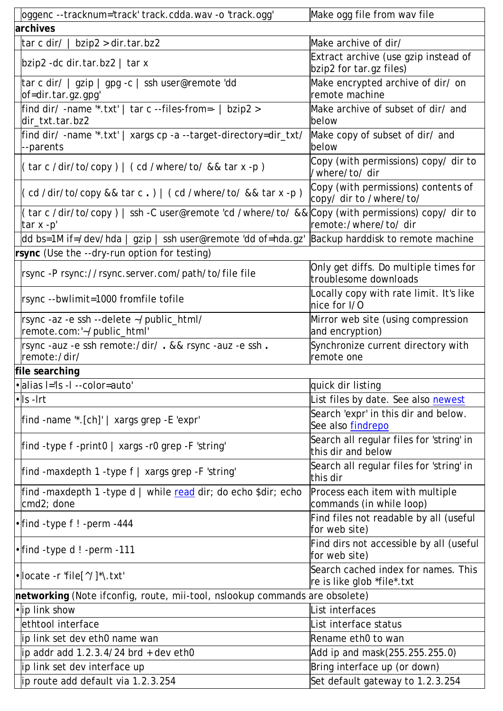| oggenc --tracknum='track' track.cdda.wav -o 'track.ogg'                                                      | Make ogg file from wav file                                       |
|--------------------------------------------------------------------------------------------------------------|-------------------------------------------------------------------|
| archives                                                                                                     |                                                                   |
| $\frac{1}{2}$ tar c dir/ $\frac{1}{2}$ bzip2 > dir.tar.bz2                                                   | Make archive of dir/                                              |
| $ $ bzip2 -dc dir.tar.bz2   tar x                                                                            | Extract archive (use gzip instead of<br>bzip2 for tar.gz files)   |
| tar c dir/   gzip   gpg -c   ssh user@remote 'dd<br> of=dir.tar.gz.gpg'                                      | Make encrypted archive of dir/ on<br>remote machine               |
| find dir/ -name ".txt'   tar c --files-from=- $\vert$ bzip2 ><br>dir_txt.tar.bz2                             | Make archive of subset of dir/ and<br>below                       |
| find dir/-name "*.txt'   xargs cp -a --target-directory=dir_txt/<br>--parents                                | Make copy of subset of dir/ and<br>below                          |
| $\left($ tar c /dir/to/copy $\right)$ $\left($ cd /where/to/ && tar x -p $\right)$                           | Copy (with permissions) copy/ dir to<br>/where/to/ dir            |
| (cd /dir/to/copy && tar c.)   (cd /where/to/ && tar x -p)                                                    | Copy (with permissions) contents of<br>copy/ dir to /where/to/    |
| (tar c /dir/to/copy)   ssh -C user@remote 'cd /where/to/ && Copy (with permissions) copy/dir to<br>tar x -p' | remote:/where/to/dir                                              |
| dd bs=1M if=/dev/hda   gzip   ssh user@remote 'dd of=hda.gz'  Backup harddisk to remote machine              |                                                                   |
| rsync (Use the --dry-run option for testing)                                                                 |                                                                   |
| rsync-P rsync://rsync.server.com/path/to/file file                                                           | Only get diffs. Do multiple times for<br>troublesome downloads    |
| rsync --bwlimit=1000 fromfile tofile                                                                         | Locally copy with rate limit. It's like<br>nice for I/O           |
| rsync -az -e ssh --delete ~/public_html/<br>remote.com:'~/public_html'                                       | Mirror web site (using compression<br>and encryption)             |
| rsync -auz -e ssh remote:/dir/ . && rsync -auz -e ssh .<br>remote:/dir/                                      | Synchronize current directory with<br>remote one                  |
| file searching                                                                                               |                                                                   |
| ·alias I='ls -l --color=auto'                                                                                | quick dir listing                                                 |
| $\cdot$ s -lrt                                                                                               | List files by date. See also newest                               |
| find -name "*.[ch]'   xargs grep -E 'expr'                                                                   | Search 'expr' in this dir and below.<br>See also findrepo         |
| find -type $f$ -print $0 \mid xargs$ -r0 grep -F 'string'                                                    | Search all regular files for 'string' in<br>this dir and below    |
| find -maxdepth 1 -type $f$   xargs grep -F 'string'                                                          | Search all regular files for 'string' in<br>this dir              |
| find -maxdepth 1 -type d   while read dir; do echo \$dir; echo<br>cmd2; done                                 | Process each item with multiple<br>commands (in while loop)       |
| • find -type f ! - perm - 444                                                                                | Find files not readable by all (useful<br>for web site)           |
| • find -type d ! - perm - 111                                                                                | Find dirs not accessible by all (useful<br>for web site)          |
| $\cdot$  locate -r 'file[^/]*\.txt'                                                                          | Search cached index for names. This<br>re is like glob *file*.txt |
| networking (Note ifconfig, route, mii-tool, nslookup commands are obsolete)                                  |                                                                   |
| •lip link show                                                                                               | List interfaces                                                   |
| ethtool interface                                                                                            | List interface status                                             |
| ip link set dev eth0 name wan                                                                                | Rename eth0 to wan                                                |
| $ip$ addr add 1.2.3.4/24 brd + dev eth0                                                                      | Add ip and mask(255.255.255.0)                                    |
| lip link set dev interface up                                                                                | Bring interface up (or down)                                      |
| ip route add default via 1.2.3.254                                                                           | Set default gateway to 1.2.3.254                                  |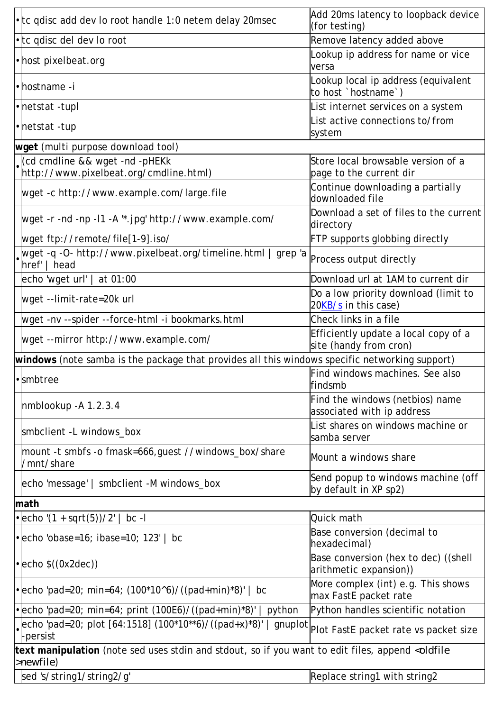| • tc qdisc add dev lo root handle 1:0 netem delay 20msec                                                                      | Add 20ms latency to loopback device<br>(for testing)           |  |
|-------------------------------------------------------------------------------------------------------------------------------|----------------------------------------------------------------|--|
| • tc qdisc del dev lo root                                                                                                    | Remove latency added above                                     |  |
| • host pixelbeat org                                                                                                          | Lookup ip address for name or vice<br>versa                    |  |
| • hostname - i                                                                                                                | Lookup local ip address (equivalent<br>to host `hostname`)     |  |
| • netstat - tupl                                                                                                              | List internet services on a system                             |  |
| • netstat - tup                                                                                                               | List active connections to/from<br>system                      |  |
| wget (multi purpose download tool)                                                                                            |                                                                |  |
| cd cmdline && wget -nd -pHEKk                                                                                                 | Store local browsable version of a                             |  |
| http://www.pixelbeat.org/cmdline.html)                                                                                        | page to the current dir                                        |  |
| wget -c http://www.example.com/large.file                                                                                     | Continue downloading a partially<br>downloaded file            |  |
| /wget -r -nd -np -l1 -A '*.jpg' http://www.example.com/                                                                       | Download a set of files to the current<br>directory            |  |
| wget ftp://remote/file[1-9].iso/                                                                                              | FTP supports globbing directly                                 |  |
| wget -q -O- http://www.pixelbeat.org/timeline.html   grep 'a<br>href <sup>'</sup><br>head                                     | Process output directly                                        |  |
| echo 'wget url'   at 01:00                                                                                                    | Download url at 1AM to current dir                             |  |
| wget --limit-rate=20k url                                                                                                     | Do a low priority download (limit to<br>20KB/s in this case)   |  |
| wget -nv --spider --force-html -i bookmarks.html                                                                              | Check links in a file                                          |  |
| wget --mirror http://www.example.com/                                                                                         | Efficiently update a local copy of a<br>site (handy from cron) |  |
| windows (note samba is the package that provides all this windows specific networking support)                                |                                                                |  |
| · smbtree                                                                                                                     | Find windows machines. See also<br> findsmb                    |  |
| nmblookup -A 1.2.3.4                                                                                                          | Find the windows (netbios) name<br>associated with ip address  |  |
| smbclient -L windows_box                                                                                                      | List shares on windows machine or<br>samba server              |  |
| mount -t smbfs -o fmask=666, quest //windows_box/share<br>/mnt/share                                                          | Mount a windows share                                          |  |
| echo 'message'   smbclient -M windows_box                                                                                     | Send popup to windows machine (off<br>by default in XP sp2)    |  |
| math                                                                                                                          |                                                                |  |
| • echo ' $(1 + \sqrt{5})/2'$  <br>$bc -l$                                                                                     | Quick math                                                     |  |
| $\bullet$ echo 'obase=16; ibase=10; 123'   bc                                                                                 | Base conversion (decimal to<br>hexadecimal)                    |  |
| $\cdot$ echo $\left(\frac{0x}{2dec}\right)$                                                                                   | Base conversion (hex to dec) ((shell<br>arithmetic expansion)) |  |
| • echo 'pad=20; min=64; $(100*10^{6})/((pad+min)*8)'$   bc                                                                    | More complex (int) e.g. This shows<br>max FastE packet rate    |  |
| • echo 'pad=20; min=64; print $(100E6)/((pad+min)*8)'$<br>python                                                              | Python handles scientific notation                             |  |
| echo 'pad=20; plot [64:1518] (100*10**6)/((pad+x)*8)'  <br>gnuplot<br>-persist                                                | Plot FastE packet rate vs packet size                          |  |
| text manipulation (note sed uses stdin and stdout, so if you want to edit files, append <oldfile<br>&gt;newfile)</oldfile<br> |                                                                |  |
| sed 's/string1/string2/g'                                                                                                     | Replace string1 with string2                                   |  |
|                                                                                                                               |                                                                |  |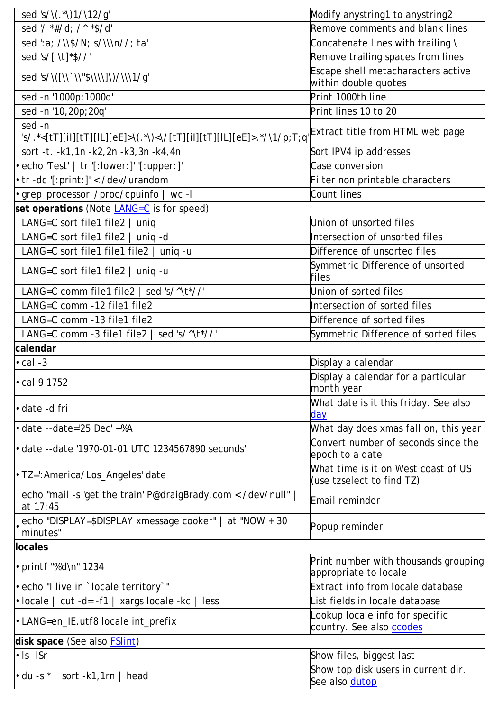| sed 's/\(.*\)1/\12/g'                                                                                                        | Modify anystring1 to anystring2                                  |
|------------------------------------------------------------------------------------------------------------------------------|------------------------------------------------------------------|
| sed '/ *#/d; /^ *\$/d'                                                                                                       | Remove comments and blank lines                                  |
| sed ':a; /\\\$/N; s/\\\n//; ta'                                                                                              | Concatenate lines with trailing \                                |
| sed 's/[\t]*\$//'                                                                                                            | Remove trailing spaces from lines                                |
| sed 's/\([\\` \\"\$\\\\]\) <i>/\\\\1/</i> g'                                                                                 | Escape shell metacharacters active<br>within double quotes       |
| sed -n '1000p;1000q'                                                                                                         | Print 1000th line                                                |
| sed -n '10,20p;20q'                                                                                                          | Print lines 10 to 20                                             |
| sed -n<br> s/.*<[tT][ii][tT][iL][eE]>\(.*\)<\/[tT][ii][tT][iL][eE]>.*/\1/p;T;q <sup> </sup> Extract title from HTML web page |                                                                  |
| sort -t. -k1,1n -k2,2n -k3,3n -k4,4n                                                                                         | Sort IPV4 ip addresses                                           |
| • echo 'Test'   tr '[: lower: ]' '[: upper: ]'                                                                               | Case conversion                                                  |
| • tr -dc '[:print:]' < /dev/urandom                                                                                          | Filter non printable characters                                  |
| • grep 'processor' /proc/cpuinfo   wc-I                                                                                      | <b>Count lines</b>                                               |
| set operations (Note LANG=C is for speed)                                                                                    |                                                                  |
| LANG=C sort file1 file2   uniq                                                                                               | Union of unsorted files                                          |
| LANG=C sort file1 file2   uniq -d                                                                                            | Intersection of unsorted files                                   |
| LANG=C sort file1 file1 file2   uniq -u                                                                                      | Difference of unsorted files                                     |
| LANG=C sort file1 file2   uniq -u                                                                                            | Symmetric Difference of unsorted<br>files                        |
| LANG=C comm file1 file2   sed 's/^\t*//'                                                                                     | Union of sorted files                                            |
| LANG=C comm -12 file1 file2                                                                                                  | Intersection of sorted files                                     |
| LANG=C comm -13 file1 file2                                                                                                  | Difference of sorted files                                       |
| LANG=C comm -3 file1 file2   sed 's/^\t*//'                                                                                  | Symmetric Difference of sorted files                             |
| calendar                                                                                                                     |                                                                  |
| $\cdot$ cal -3                                                                                                               | Display a calendar                                               |
| • cal 9 1752                                                                                                                 | Display a calendar for a particular<br>month year                |
| ·date -d fri                                                                                                                 | What date is it this friday. See also<br>day                     |
| $\bullet$ date --date='25 Dec' +%A                                                                                           | What day does xmas fall on, this year                            |
| • date -- date '1970-01-01 UTC 1234567890 seconds'                                                                           | Convert number of seconds since the<br>epoch to a date           |
| • TZ=": America/Los_Angeles' date                                                                                            | What time is it on West coast of US<br>(use tzselect to find TZ) |
| echo "mail -s 'get the train' P@draigBrady.com < /dev/null"  <br>at 17:45                                                    | Email reminder                                                   |
| echo "DISPLAY=\$DISPLAY xmessage cooker"   at "NOW + 30<br>minutes"                                                          | Popup reminder                                                   |
| locales                                                                                                                      |                                                                  |
| $\cdot$ printf "%'d\n" 1234                                                                                                  | Print number with thousands grouping<br>appropriate to locale    |
| • echo "I live in `locale territory`"                                                                                        | Extract info from locale database                                |
| $\cdot$ locale  <br>cut -d= -f1 $ $<br>xargs locale -kc<br>less                                                              | List fields in locale database                                   |
| •LANG=en_IE.utf8 locale int_prefix                                                                                           | Lookup locale info for specific<br>country. See also ccodes      |
| disk space (See also <b>FSlint)</b>                                                                                          |                                                                  |
| $\cdot$ Is -ISr                                                                                                              | Show files, biggest last                                         |
| $\cdot$ du -s $*$   sort -k1,1rn   head                                                                                      | Show top disk users in current dir.<br>See also dutop            |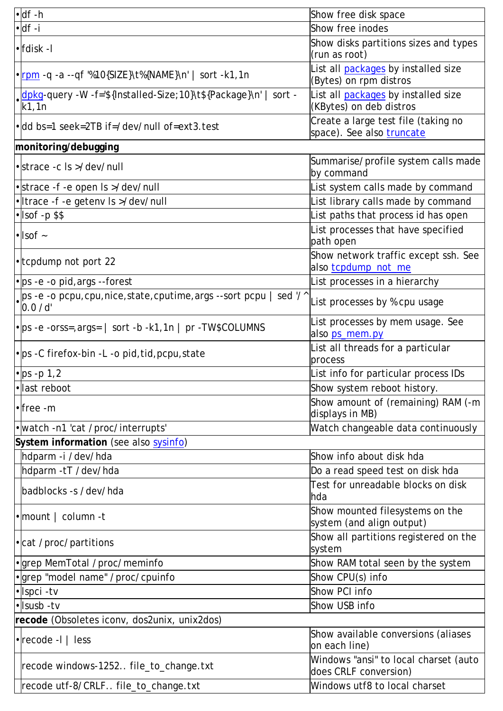| $\cdot$ df -h                                                                                    | Show free disk space                                             |
|--------------------------------------------------------------------------------------------------|------------------------------------------------------------------|
| $\cdot$ df -i                                                                                    | Show free inodes                                                 |
| $\cdot$   fdisk - I                                                                              | Show disks partitions sizes and types<br>(run as root)           |
| • rpm -q -a --qf '%10{SIZE}\t%{NAME}\n'   sort -k1,1n                                            | List all packages by installed size<br>(Bytes) on rpm distros    |
| .dpkg-query -W -f='\${Installed-Size;10}\t\${Package}\n'  <br>sort -<br>k1,1n                    | List all packages by installed size<br>(KBytes) on deb distros   |
| • dd bs=1 seek=2TB if=/dev/null of=ext3.test                                                     | Create a large test file (taking no<br>space). See also truncate |
| monitoring/debugging                                                                             |                                                                  |
| • strace -c Is >/dev/null                                                                        | Summarise/profile system calls made<br>by command                |
| • strace -f -e open Is >/dev/null                                                                | List system calls made by command                                |
| • Itrace -f -e getenv Is >/dev/null                                                              | List library calls made by command                               |
| $\cdot$ Isof -p \$\$                                                                             | List paths that process id has open                              |
| $\cdot$ sof $\sim$                                                                               | List processes that have specified<br>path open                  |
| • tcpdump not port 22                                                                            | Show network traffic except ssh. See<br>also tcpdump_not_me      |
| • ps - e - o pid, args --forest                                                                  | List processes in a hierarchy                                    |
| $\Box$ ps -e -o pcpu,cpu,nice,state,cputime,args --sort pcpu   sed '/^<br>$\left 0.0\right $ /d' | List processes by % cpu usage                                    |
| • ps - e - orss = , args =   sort - b - k1, 1n   pr - TW\$COLUMNS                                | List processes by mem usage. See<br>also ps_mem.py               |
| • ps - C firefox-bin - L - o pid, tid, pcpu, state                                               | List all threads for a particular<br>process                     |
| $\cdot$ ps -p 1,2                                                                                | List info for particular process IDs                             |
| •llast reboot                                                                                    | Show system reboot history.                                      |
| $\cdot$ free -m                                                                                  | Show amount of (remaining) RAM (-m<br>displays in MB)            |
| • watch -n1 'cat / proc/interrupts'                                                              | Watch changeable data continuously                               |
| System information (see also sysinfo)                                                            |                                                                  |
| hdparm -i /dev/hda                                                                               | Show info about disk hda                                         |
| hdparm -tT /dev/hda                                                                              | Do a read speed test on disk hda                                 |
| badblocks -s /dev/hda                                                                            | Test for unreadable blocks on disk<br>hda                        |
| $\cdot$ mount   column -t                                                                        | Show mounted filesystems on the<br>system (and align output)     |
| • cat / proc/partitions                                                                          | Show all partitions registered on the<br>system                  |
| • grep MemTotal / proc/meminfo                                                                   | Show RAM total seen by the system                                |
| · grep "model name" /proc/cpuinfo                                                                | Show CPU(s) info                                                 |
| • Ispci - tv                                                                                     | Show PCI info                                                    |
| • Isusb - tv                                                                                     | Show USB info                                                    |
| recode (Obsoletes iconv, dos2unix, unix2dos)                                                     |                                                                  |
| $\cdot$ recode -I   less                                                                         | Show available conversions (aliases<br>on each line)             |
| recode windows-1252 file_to_change.txt                                                           | Windows "ansi" to local charset (auto<br>does CRLF conversion)   |
| recode utf-8/CRLF file_to_change.txt                                                             | Windows utf8 to local charset                                    |